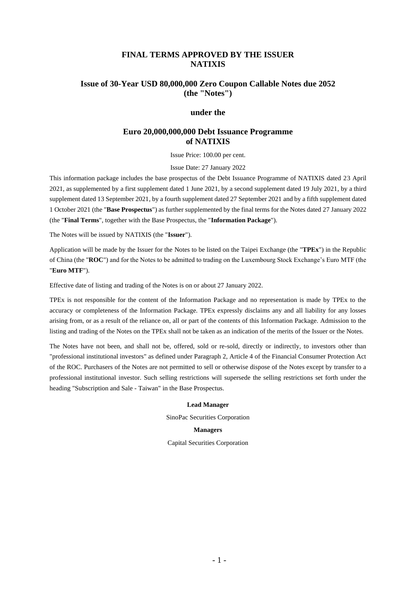## **FINAL TERMS APPROVED BY THE ISSUER NATIXIS**

# **Issue of 30-Year USD 80,000,000 Zero Coupon Callable Notes due 2052 (the "Notes")**

#### **under the**

#### **Euro 20,000,000,000 Debt Issuance Programme of NATIXIS**

Issue Price: 100.00 per cent.

Issue Date: 27 January 2022

This information package includes the base prospectus of the Debt Issuance Programme of NATIXIS dated 23 April 2021, as supplemented by a first supplement dated 1 June 2021, by a second supplement dated 19 July 2021, by a third supplement dated 13 September 2021, by a fourth supplement dated 27 September 2021 and by a fifth supplement dated 1 October 2021 (the "**Base Prospectus**") as further supplemented by the final terms for the Notes dated 27 January 2022 (the "**Final Terms**", together with the Base Prospectus, the "**Information Package**").

The Notes will be issued by NATIXIS (the "**Issuer**").

Application will be made by the Issuer for the Notes to be listed on the Taipei Exchange (the "**TPEx**") in the Republic of China (the "**ROC**") and for the Notes to be admitted to trading on the Luxembourg Stock Exchange's Euro MTF (the "**Euro MTF**").

Effective date of listing and trading of the Notes is on or about 27 January 2022.

TPEx is not responsible for the content of the Information Package and no representation is made by TPEx to the accuracy or completeness of the Information Package. TPEx expressly disclaims any and all liability for any losses arising from, or as a result of the reliance on, all or part of the contents of this Information Package. Admission to the listing and trading of the Notes on the TPEx shall not be taken as an indication of the merits of the Issuer or the Notes.

The Notes have not been, and shall not be, offered, sold or re-sold, directly or indirectly, to investors other than "professional institutional investors" as defined under Paragraph 2, Article 4 of the Financial Consumer Protection Act of the ROC. Purchasers of the Notes are not permitted to sell or otherwise dispose of the Notes except by transfer to a professional institutional investor. Such selling restrictions will supersede the selling restrictions set forth under the heading "Subscription and Sale - Taiwan" in the Base Prospectus.

#### **Lead Manager**

SinoPac Securities Corporation

#### **Managers**

Capital Securities Corporation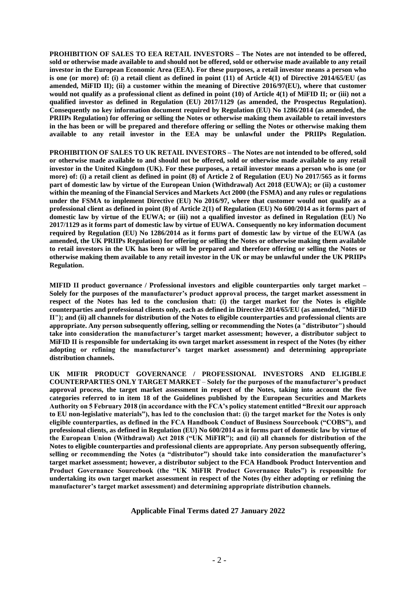**PROHIBITION OF SALES TO EEA RETAIL INVESTORS – The Notes are not intended to be offered, sold or otherwise made available to and should not be offered, sold or otherwise made available to any retail investor in the European Economic Area (EEA). For these purposes, a retail investor means a person who is one (or more) of: (i) a retail client as defined in point (11) of Article 4(1) of Directive 2014/65/EU (as amended, MiFID II); (ii) a customer within the meaning of Directive 2016/97(EU), where that customer would not qualify as a professional client as defined in point (10) of Article 4(1) of MiFID II; or (iii) not a qualified investor as defined in Regulation (EU) 2017/1129 (as amended, the Prospectus Regulation). Consequently no key information document required by Regulation (EU) No 1286/2014 (as amended, the PRIIPs Regulation) for offering or selling the Notes or otherwise making them available to retail investors in the has been or will be prepared and therefore offering or selling the Notes or otherwise making them available to any retail investor in the EEA may be unlawful under the PRIIPs Regulation.**

**PROHIBITION OF SALES TO UK RETAIL INVESTORS – The Notes are not intended to be offered, sold or otherwise made available to and should not be offered, sold or otherwise made available to any retail investor in the United Kingdom (UK). For these purposes, a retail investor means a person who is one (or more) of: (i) a retail client as defined in point (8) of Article 2 of Regulation (EU) No 2017/565 as it forms part of domestic law by virtue of the European Union (Withdrawal) Act 2018 (EUWA); or (ii) a customer within the meaning of the Financial Services and Markets Act 2000 (the FSMA) and any rules or regulations under the FSMA to implement Directive (EU) No 2016/97, where that customer would not qualify as a professional client as defined in point (8) of Article 2(1) of Regulation (EU) No 600/2014 as it forms part of domestic law by virtue of the EUWA; or (iii) not a qualified investor as defined in Regulation (EU) No 2017/1129 as it forms part of domestic law by virtue of EUWA. Consequently no key information document required by Regulation (EU) No 1286/2014 as it forms part of domestic law by virtue of the EUWA (as amended, the UK PRIIPs Regulation) for offering or selling the Notes or otherwise making them available to retail investors in the UK has been or will be prepared and therefore offering or selling the Notes or otherwise making them available to any retail investor in the UK or may be unlawful under the UK PRIIPs Regulation.**

**MIFID II product governance / Professional investors and eligible counterparties only target market – Solely for the purposes of the manufacturer's product approval process, the target market assessment in respect of the Notes has led to the conclusion that: (i) the target market for the Notes is eligible counterparties and professional clients only, each as defined in Directive 2014/65/EU (as amended, "MiFID II"); and (ii) all channels for distribution of the Notes to eligible counterparties and professional clients are appropriate. Any person subsequently offering, selling or recommending the Notes (a "distributor") should take into consideration the manufacturer's target market assessment; however, a distributor subject to MiFID II is responsible for undertaking its own target market assessment in respect of the Notes (by either adopting or refining the manufacturer's target market assessment) and determining appropriate distribution channels.**

**UK MIFIR PRODUCT GOVERNANCE / PROFESSIONAL INVESTORS AND ELIGIBLE COUNTERPARTIES ONLY TARGET MARKET** – **Solely for the purposes of the manufacturer's product approval process, the target market assessment in respect of the Notes, taking into account the five categories referred to in item 18 of the Guidelines published by the European Securities and Markets Authority on 5 February 2018 (in accordance with the FCA's policy statement entitled "Brexit our approach to EU non-legislative materials"), has led to the conclusion that: (i) the target market for the Notes is only eligible counterparties, as defined in the FCA Handbook Conduct of Business Sourcebook ("COBS"), and professional clients, as defined in Regulation (EU) No 600/2014 as it forms part of domestic law by virtue of the European Union (Withdrawal) Act 2018 ("UK MiFIR"); and (ii) all channels for distribution of the Notes to eligible counterparties and professional clients are appropriate. Any person subsequently offering, selling or recommending the Notes (a "distributor") should take into consideration the manufacturer's target market assessment; however, a distributor subject to the FCA Handbook Product Intervention and Product Governance Sourcebook (the "UK MiFIR Product Governance Rules") is responsible for undertaking its own target market assessment in respect of the Notes (by either adopting or refining the manufacturer's target market assessment) and determining appropriate distribution channels.**

**Applicable Final Terms dated 27 January 2022**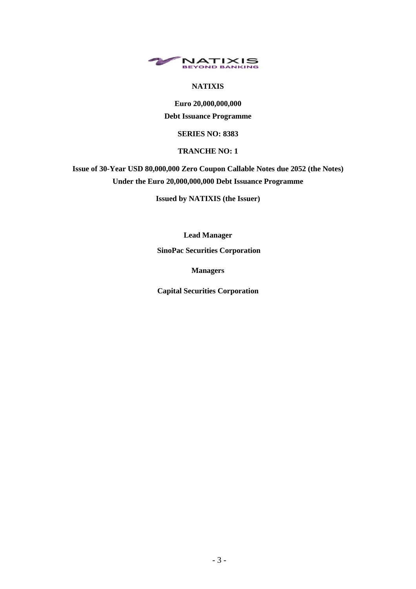

## **NATIXIS**

**Euro 20,000,000,000 Debt Issuance Programme**

### **SERIES NO: 8383**

#### **TRANCHE NO: 1**

# **Issue of 30-Year USD 80,000,000 Zero Coupon Callable Notes due 2052 (the Notes) Under the Euro 20,000,000,000 Debt Issuance Programme**

**Issued by NATIXIS (the Issuer)**

**Lead Manager**

**SinoPac Securities Corporation** 

**Managers**

**Capital Securities Corporation**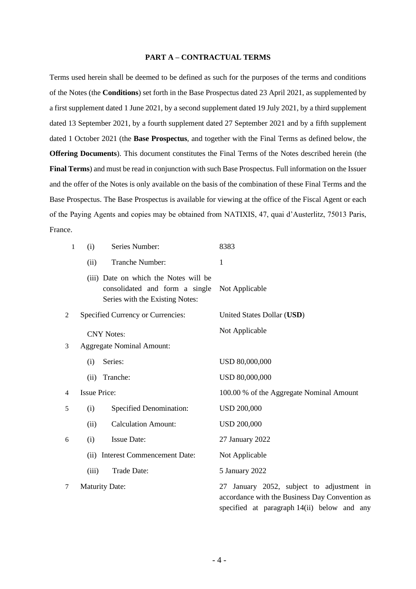#### **PART A – CONTRACTUAL TERMS**

Terms used herein shall be deemed to be defined as such for the purposes of the terms and conditions of the Notes (the **Conditions**) set forth in the Base Prospectus dated 23 April 2021, as supplemented by a first supplement dated 1 June 2021, by a second supplement dated 19 July 2021, by a third supplement dated 13 September 2021, by a fourth supplement dated 27 September 2021 and by a fifth supplement dated 1 October 2021 (the **Base Prospectus**, and together with the Final Terms as defined below, the **Offering Documents**). This document constitutes the Final Terms of the Notes described herein (the **Final Terms**) and must be read in conjunction with such Base Prospectus. Full information on the Issuer and the offer of the Notes is only available on the basis of the combination of these Final Terms and the Base Prospectus. The Base Prospectus is available for viewing at the office of the Fiscal Agent or each of the Paying Agents and copies may be obtained from NATIXIS, 47, quai d'Austerlitz, 75013 Paris, France.

| 1              | (i)                 | Series Number:                                                                                             | 8383                                                                                        |
|----------------|---------------------|------------------------------------------------------------------------------------------------------------|---------------------------------------------------------------------------------------------|
|                | (ii)                | Tranche Number:                                                                                            | 1                                                                                           |
|                |                     | (iii) Date on which the Notes will be<br>consolidated and form a single<br>Series with the Existing Notes: | Not Applicable                                                                              |
| $\overline{c}$ |                     | Specified Currency or Currencies:                                                                          | United States Dollar (USD)                                                                  |
|                |                     | <b>CNY Notes:</b>                                                                                          | Not Applicable                                                                              |
| 3              |                     | <b>Aggregate Nominal Amount:</b>                                                                           |                                                                                             |
|                | (i)                 | Series:                                                                                                    | USD 80,000,000                                                                              |
|                | (ii)                | Tranche:                                                                                                   | USD 80,000,000                                                                              |
| 4              | <b>Issue Price:</b> |                                                                                                            | 100.00 % of the Aggregate Nominal Amount                                                    |
| 5              | (i)                 | <b>Specified Denomination:</b>                                                                             | <b>USD 200,000</b>                                                                          |
|                | (ii)                | <b>Calculation Amount:</b>                                                                                 | <b>USD 200,000</b>                                                                          |
| 6              | (i)                 | <b>Issue Date:</b>                                                                                         | 27 January 2022                                                                             |
|                |                     | (ii) Interest Commencement Date:                                                                           | Not Applicable                                                                              |
|                | (iii)               | Trade Date:                                                                                                | 5 January 2022                                                                              |
| 7              |                     | <b>Maturity Date:</b>                                                                                      | 27 January 2052, subject to adjustment in<br>accordance with the Business Day Convention as |

specified at paragraph [14\(](#page-4-0)ii) below and any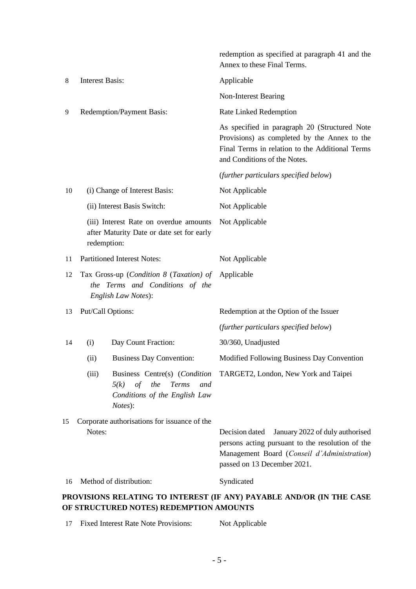|    |                                                                                                   |                                                                                     | redemption as specified at paragraph 41 and the<br>Annex to these Final Terms.                                                                                                      |
|----|---------------------------------------------------------------------------------------------------|-------------------------------------------------------------------------------------|-------------------------------------------------------------------------------------------------------------------------------------------------------------------------------------|
| 8  | <b>Interest Basis:</b>                                                                            |                                                                                     | Applicable                                                                                                                                                                          |
|    |                                                                                                   |                                                                                     | Non-Interest Bearing                                                                                                                                                                |
| 9  |                                                                                                   | Redemption/Payment Basis:                                                           | Rate Linked Redemption                                                                                                                                                              |
|    |                                                                                                   |                                                                                     | As specified in paragraph 20 (Structured Note<br>Provisions) as completed by the Annex to the<br>Final Terms in relation to the Additional Terms<br>and Conditions of the Notes.    |
|    |                                                                                                   |                                                                                     | (further particulars specified below)                                                                                                                                               |
| 10 |                                                                                                   | (i) Change of Interest Basis:                                                       | Not Applicable                                                                                                                                                                      |
|    |                                                                                                   | (ii) Interest Basis Switch:                                                         | Not Applicable                                                                                                                                                                      |
|    | redemption:                                                                                       | (iii) Interest Rate on overdue amounts<br>after Maturity Date or date set for early | Not Applicable                                                                                                                                                                      |
| 11 | <b>Partitioned Interest Notes:</b>                                                                |                                                                                     | Not Applicable                                                                                                                                                                      |
| 12 | Tax Gross-up (Condition 8 (Taxation) of<br>the Terms and Conditions of the<br>English Law Notes): |                                                                                     | Applicable                                                                                                                                                                          |
| 13 | Put/Call Options:                                                                                 |                                                                                     | Redemption at the Option of the Issuer                                                                                                                                              |
|    |                                                                                                   |                                                                                     | (further particulars specified below)                                                                                                                                               |
| 14 | (i)                                                                                               | Day Count Fraction:                                                                 | 30/360, Unadjusted                                                                                                                                                                  |
|    | (ii)                                                                                              | <b>Business Day Convention:</b>                                                     | Modified Following Business Day Convention                                                                                                                                          |
|    | (iii)                                                                                             | of the<br>Terms<br>5(k)<br>and<br>Conditions of the English Law<br>Notes):          | Business Centre(s) (Condition TARGET2, London, New York and Taipei                                                                                                                  |
| 15 | Notes:                                                                                            | Corporate authorisations for issuance of the                                        | Decision dated<br>January 2022 of duly authorised<br>persons acting pursuant to the resolution of the<br>Management Board (Conseil d'Administration)<br>passed on 13 December 2021. |
| 16 |                                                                                                   | Method of distribution:                                                             | Syndicated                                                                                                                                                                          |
|    |                                                                                                   | OF STRUCTURED NOTES) REDEMPTION AMOUNTS                                             | PROVISIONS RELATING TO INTEREST (IF ANY) PAYABLE AND/OR (IN THE CASE                                                                                                                |

<span id="page-4-0"></span>

| 17 Fixed Interest Rate Note Provisions: | Not Applicable |
|-----------------------------------------|----------------|
|                                         |                |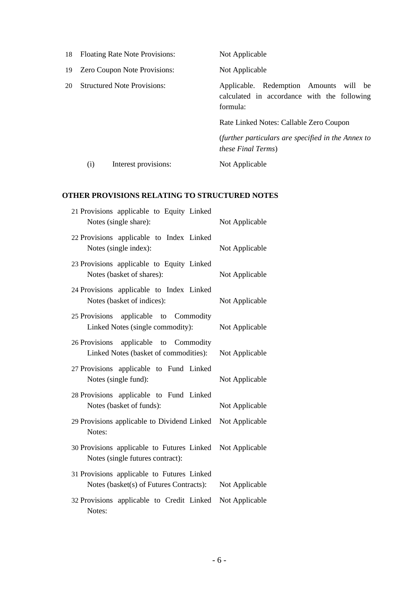|     |     | 18 Floating Rate Note Provisions:  | Not Applicable                                                                                    |
|-----|-----|------------------------------------|---------------------------------------------------------------------------------------------------|
| 19  |     | Zero Coupon Note Provisions:       | Not Applicable                                                                                    |
| 20- |     | <b>Structured Note Provisions:</b> | Applicable. Redemption Amounts will be<br>calculated in accordance with the following<br>formula: |
|     |     |                                    | Rate Linked Notes: Callable Zero Coupon                                                           |
|     |     |                                    | (further particulars are specified in the Annex to<br><i>these Final Terms</i> )                  |
|     | (i) | Interest provisions:               | Not Applicable                                                                                    |

# **OTHER PROVISIONS RELATING TO STRUCTURED NOTES**

| 21 Provisions applicable to Equity Linked<br>Notes (single share):                    | Not Applicable |
|---------------------------------------------------------------------------------------|----------------|
| 22 Provisions applicable to Index Linked<br>Notes (single index):                     | Not Applicable |
| 23 Provisions applicable to Equity Linked<br>Notes (basket of shares):                | Not Applicable |
| 24 Provisions applicable to Index Linked<br>Notes (basket of indices):                | Not Applicable |
| applicable to Commodity<br>25 Provisions<br>Linked Notes (single commodity):          | Not Applicable |
| applicable to Commodity<br>26 Provisions<br>Linked Notes (basket of commodities):     | Not Applicable |
| 27 Provisions applicable to Fund Linked<br>Notes (single fund):                       | Not Applicable |
| 28 Provisions applicable to Fund Linked<br>Notes (basket of funds):                   | Not Applicable |
| 29 Provisions applicable to Dividend Linked<br>Notes:                                 | Not Applicable |
| 30 Provisions applicable to Futures Linked<br>Notes (single futures contract):        | Not Applicable |
| 31 Provisions applicable to Futures Linked<br>Notes (basket(s) of Futures Contracts): | Not Applicable |
| 32 Provisions applicable to Credit Linked<br>Notes:                                   | Not Applicable |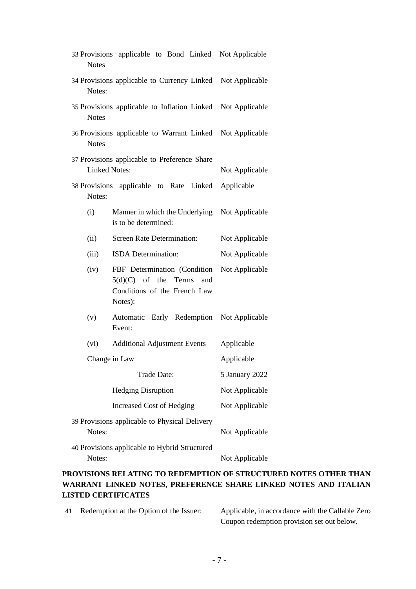| <b>Notes</b>                                            | 33 Provisions applicable to Bond Linked Not Applicable                                                   |                |
|---------------------------------------------------------|----------------------------------------------------------------------------------------------------------|----------------|
| Notes:                                                  | 34 Provisions applicable to Currency Linked Not Applicable                                               |                |
| <b>Notes</b>                                            | 35 Provisions applicable to Inflation Linked                                                             | Not Applicable |
| <b>Notes</b>                                            | 36 Provisions applicable to Warrant Linked Not Applicable                                                |                |
| <b>Linked Notes:</b>                                    | 37 Provisions applicable to Preference Share                                                             | Not Applicable |
| Notes:                                                  | 38 Provisions applicable to Rate Linked                                                                  | Applicable     |
| (i)                                                     | Manner in which the Underlying<br>is to be determined:                                                   | Not Applicable |
| (ii)                                                    | <b>Screen Rate Determination:</b>                                                                        | Not Applicable |
| (iii)                                                   | ISDA Determination:                                                                                      | Not Applicable |
| (iv)                                                    | FBF Determination (Condition<br>$5(d)(C)$ of the Terms<br>and<br>Conditions of the French Law<br>Notes): | Not Applicable |
| (v)                                                     | Automatic Early Redemption<br>Event:                                                                     | Not Applicable |
| (vi)                                                    | <b>Additional Adjustment Events</b>                                                                      | Applicable     |
|                                                         | Change in Law                                                                                            | Applicable     |
|                                                         | Trade Date:                                                                                              | 5 January 2022 |
|                                                         | <b>Hedging Disruption</b>                                                                                | Not Applicable |
|                                                         | Increased Cost of Hedging                                                                                | Not Applicable |
| 39 Provisions applicable to Physical Delivery<br>Notes: | Not Applicable                                                                                           |                |
| 40 Provisions applicable to Hybrid Structured<br>Notes: | Not Applicable                                                                                           |                |

# **PROVISIONS RELATING TO REDEMPTION OF STRUCTURED NOTES OTHER THAN WARRANT LINKED NOTES, PREFERENCE SHARE LINKED NOTES AND ITALIAN LISTED CERTIFICATES**

| 41 |  |  | Redemption at the Option of the Issuer: |
|----|--|--|-----------------------------------------|
|----|--|--|-----------------------------------------|

Applicable, in accordance with the Callable Zero Coupon redemption provision set out below.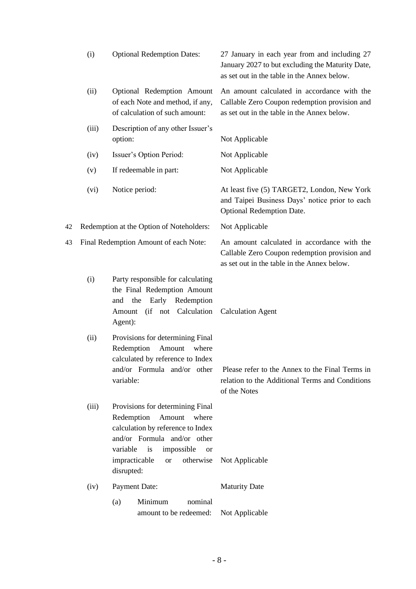|    | (i)   | <b>Optional Redemption Dates:</b>                                                                                                                                                                                                               | 27 January in each year from and including 27<br>January 2027 to but excluding the Maturity Date,<br>as set out in the table in the Annex below. |
|----|-------|-------------------------------------------------------------------------------------------------------------------------------------------------------------------------------------------------------------------------------------------------|--------------------------------------------------------------------------------------------------------------------------------------------------|
|    | (ii)  | Optional Redemption Amount<br>of each Note and method, if any,<br>of calculation of such amount:                                                                                                                                                | An amount calculated in accordance with the<br>Callable Zero Coupon redemption provision and<br>as set out in the table in the Annex below.      |
|    | (iii) | Description of any other Issuer's<br>option:                                                                                                                                                                                                    | Not Applicable                                                                                                                                   |
|    | (iv)  | Issuer's Option Period:                                                                                                                                                                                                                         | Not Applicable                                                                                                                                   |
|    | (v)   | If redeemable in part:                                                                                                                                                                                                                          | Not Applicable                                                                                                                                   |
|    | (vi)  | Notice period:                                                                                                                                                                                                                                  | At least five (5) TARGET2, London, New York<br>and Taipei Business Days' notice prior to each<br><b>Optional Redemption Date.</b>                |
| 42 |       | Redemption at the Option of Noteholders:                                                                                                                                                                                                        | Not Applicable                                                                                                                                   |
| 43 |       | Final Redemption Amount of each Note:                                                                                                                                                                                                           | An amount calculated in accordance with the<br>Callable Zero Coupon redemption provision and<br>as set out in the table in the Annex below.      |
|    | (i)   | Party responsible for calculating<br>the Final Redemption Amount<br>the<br>Early<br>Redemption<br>and<br>(if not Calculation<br>Amount<br>Agent):                                                                                               | <b>Calculation Agent</b>                                                                                                                         |
|    | (ii)  | Provisions for determining Final<br>Amount<br>Redemption<br>where<br>calculated by reference to Index<br>variable:                                                                                                                              | and/or Formula and/or other Please refer to the Annex to the Final Terms in<br>relation to the Additional Terms and Conditions<br>of the Notes   |
|    | (iii) | Provisions for determining Final<br>Redemption<br>Amount<br>where<br>calculation by reference to Index<br>and/or Formula and/or other<br>variable<br>is<br>impossible<br><sub>or</sub><br>impracticable<br>otherwise<br><b>or</b><br>disrupted: | Not Applicable                                                                                                                                   |
|    | (iv)  | Payment Date:                                                                                                                                                                                                                                   | <b>Maturity Date</b>                                                                                                                             |
|    |       | Minimum<br>nominal<br>(a)<br>amount to be redeemed:                                                                                                                                                                                             | Not Applicable                                                                                                                                   |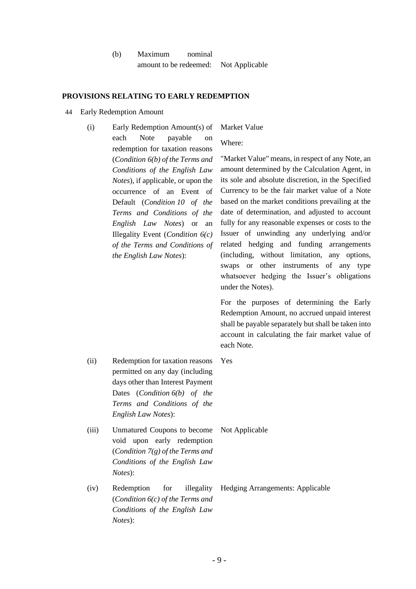| (b) | Maximum                | nominal |                |
|-----|------------------------|---------|----------------|
|     | amount to be redeemed: |         | Not Applicable |

#### **PROVISIONS RELATING TO EARLY REDEMPTION**

- 44 Early Redemption Amount
	- (i) Early Redemption Amount(s) of each Note payable on redemption for taxation reasons (*Condition 6(b) of the Terms and Conditions of the English Law Notes*), if applicable, or upon the occurrence of an Event of Default (*Condition 10 of the Terms and Conditions of the English Law Notes*) or an Illegality Event (*Condition 6(c) of the Terms and Conditions of the English Law Notes*):

Market Value

Where:

"Market Value" means, in respect of any Note, an amount determined by the Calculation Agent, in its sole and absolute discretion, in the Specified Currency to be the fair market value of a Note based on the market conditions prevailing at the date of determination, and adjusted to account fully for any reasonable expenses or costs to the Issuer of unwinding any underlying and/or related hedging and funding arrangements (including, without limitation, any options, swaps or other instruments of any type whatsoever hedging the Issuer's obligations under the Notes).

For the purposes of determining the Early Redemption Amount, no accrued unpaid interest shall be payable separately but shall be taken into account in calculating the fair market value of each Note.

- (ii) Redemption for taxation reasons permitted on any day (including days other than Interest Payment Dates (*Condition 6(b) of the Terms and Conditions of the English Law Notes*):
- (iii) Unmatured Coupons to become void upon early redemption (*Condition 7(g) of the Terms and Conditions of the English Law Notes*):
- (iv) Redemption for illegality (*Condition 6(c) of the Terms and Conditions of the English Law Notes*):

Yes

Not Applicable

Hedging Arrangements: Applicable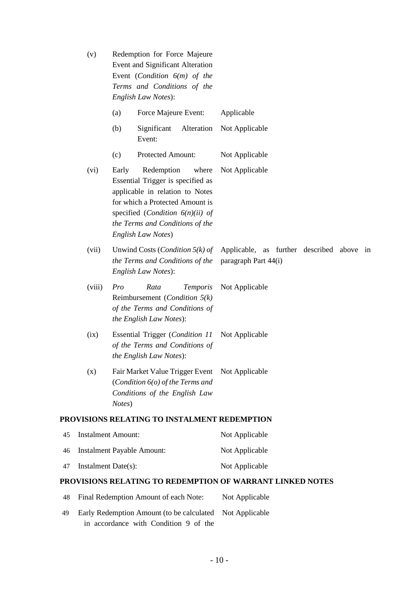|                    | (v)                                                      | Redemption for Force Majeure<br>Event and Significant Alteration<br>Event (Condition $6(m)$ of the<br>Terms and Conditions of the<br>English Law Notes):                                                                               |                                                                   |
|--------------------|----------------------------------------------------------|----------------------------------------------------------------------------------------------------------------------------------------------------------------------------------------------------------------------------------------|-------------------------------------------------------------------|
|                    |                                                          | Force Majeure Event:<br>(a)                                                                                                                                                                                                            | Applicable                                                        |
|                    |                                                          | (b)<br>Alteration<br>Significant<br>Event:                                                                                                                                                                                             | Not Applicable                                                    |
|                    |                                                          | Protected Amount:<br>(c)                                                                                                                                                                                                               | Not Applicable                                                    |
|                    | (vi)                                                     | Early<br>Redemption<br>where<br>Essential Trigger is specified as<br>applicable in relation to Notes<br>for which a Protected Amount is<br>specified (Condition $6(n)(ii)$ of<br>the Terms and Conditions of the<br>English Law Notes) | Not Applicable                                                    |
|                    | (vii)                                                    | Unwind Costs ( <i>Condition</i> $5(k)$ of<br>the Terms and Conditions of the<br>English Law Notes):                                                                                                                                    | Applicable, as further described above in<br>paragraph Part 44(i) |
|                    | (viii)                                                   | Pro<br>Rata<br><b>Temporis</b><br>Reimbursement ( <i>Condition</i> $5(k)$<br>of the Terms and Conditions of<br>the English Law Notes):                                                                                                 | Not Applicable                                                    |
|                    | (ix)                                                     | <b>Essential Trigger (Condition 11)</b><br>of the Terms and Conditions of<br>the English Law Notes):                                                                                                                                   | Not Applicable                                                    |
|                    | (x)                                                      | Fair Market Value Trigger Event Not Applicable<br>(Condition $6$ ( $o$ ) of the Terms and<br>Conditions of the English Law<br>Notes)                                                                                                   |                                                                   |
|                    |                                                          | PROVISIONS RELATING TO INSTALMENT REDEMPTION                                                                                                                                                                                           |                                                                   |
| 45                 |                                                          | <b>Instalment Amount:</b>                                                                                                                                                                                                              | Not Applicable                                                    |
| 46                 |                                                          | <b>Instalment Payable Amount:</b>                                                                                                                                                                                                      | Not Applicable                                                    |
| 47                 | Instalment Date(s):                                      |                                                                                                                                                                                                                                        | Not Applicable                                                    |
|                    |                                                          |                                                                                                                                                                                                                                        | PROVISIONS RELATING TO REDEMPTION OF WARRANT LINKED NOTES         |
| 48                 |                                                          | Final Redemption Amount of each Note:                                                                                                                                                                                                  | Not Applicable                                                    |
| $\Lambda$ $\Omega$ | Early Dedemotion Amount (to be coloulated Not Applicable |                                                                                                                                                                                                                                        |                                                                   |

49 Early Redemption Amount (to be calculated Not Applicablein accordance with Condition 9 of the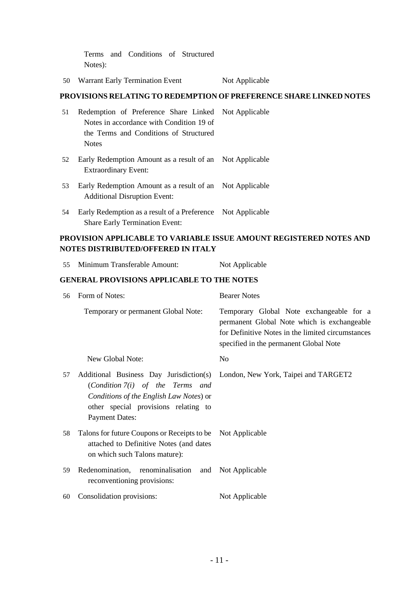Terms and Conditions of Structured Notes):

50 Warrant Early Termination Event Not Applicable

# **PROVISIONS RELATING TO REDEMPTION OF PREFERENCE SHARE LINKED NOTES**

| 51 | Redemption of Preference Share Linked Not Applicable                                                 |  |
|----|------------------------------------------------------------------------------------------------------|--|
|    | Notes in accordance with Condition 19 of                                                             |  |
|    | the Terms and Conditions of Structured                                                               |  |
|    | <b>Notes</b>                                                                                         |  |
| 52 | Early Redemption Amount as a result of an Not Applicable<br><b>Extraordinary Event:</b>              |  |
| 53 | Early Redemption Amount as a result of an Not Applicable<br><b>Additional Disruption Event:</b>      |  |
| 54 | Early Redemption as a result of a Preference Not Applicable<br><b>Share Early Termination Event:</b> |  |

55 Minimum Transferable Amount: Not Applicable

# **PROVISION APPLICABLE TO VARIABLE ISSUE AMOUNT REGISTERED NOTES AND NOTES DISTRIBUTED/OFFERED IN ITALY**

|    | <b>GENERAL PROVISIONS APPLICABLE TO THE NOTES</b>                                                                                                                                         |                                                                                                                                                                                        |  |  |  |
|----|-------------------------------------------------------------------------------------------------------------------------------------------------------------------------------------------|----------------------------------------------------------------------------------------------------------------------------------------------------------------------------------------|--|--|--|
| 56 | Form of Notes:                                                                                                                                                                            | <b>Bearer Notes</b>                                                                                                                                                                    |  |  |  |
|    | Temporary or permanent Global Note:                                                                                                                                                       | Temporary Global Note exchangeable for a<br>permanent Global Note which is exchangeable<br>for Definitive Notes in the limited circumstances<br>specified in the permanent Global Note |  |  |  |
|    | New Global Note:                                                                                                                                                                          | N <sub>o</sub>                                                                                                                                                                         |  |  |  |
| 57 | Additional Business Day Jurisdiction(s)<br>(Condition $7(i)$ of the Terms and<br>Conditions of the English Law Notes) or<br>other special provisions relating to<br><b>Payment Dates:</b> | London, New York, Taipei and TARGET2                                                                                                                                                   |  |  |  |
| 58 | Talons for future Coupons or Receipts to be Not Applicable<br>attached to Definitive Notes (and dates<br>on which such Talons mature):                                                    |                                                                                                                                                                                        |  |  |  |
| 59 | Redenomination, renominalisation and<br>reconventioning provisions:                                                                                                                       | Not Applicable                                                                                                                                                                         |  |  |  |
| 60 | Consolidation provisions:                                                                                                                                                                 | Not Applicable                                                                                                                                                                         |  |  |  |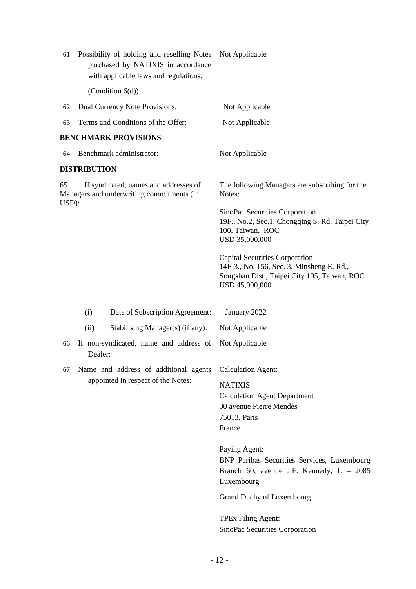<span id="page-11-0"></span>

| 61          | Possibility of holding and reselling Notes<br>purchased by NATIXIS in accordance<br>with applicable laws and regulations: | Not Applicable                                                                                                                                       |
|-------------|---------------------------------------------------------------------------------------------------------------------------|------------------------------------------------------------------------------------------------------------------------------------------------------|
|             | (Condition $6(d)$ )                                                                                                       |                                                                                                                                                      |
| 62          | Dual Currency Note Provisions:                                                                                            | Not Applicable                                                                                                                                       |
| 63          | Terms and Conditions of the Offer:                                                                                        | Not Applicable                                                                                                                                       |
|             | <b>BENCHMARK PROVISIONS</b>                                                                                               |                                                                                                                                                      |
| 64          | Benchmark administrator:                                                                                                  | Not Applicable                                                                                                                                       |
|             | <b>DISTRIBUTION</b>                                                                                                       |                                                                                                                                                      |
| 65<br>USD): | If syndicated, names and addresses of<br>Managers and underwriting commitments (in                                        | The following Managers are subscribing for the<br>Notes:                                                                                             |
|             |                                                                                                                           | SinoPac Securities Corporation<br>19F., No.2, Sec.1. Chongqing S. Rd. Taipei City<br>100, Taiwan, ROC<br>USD 35,000,000                              |
|             |                                                                                                                           | <b>Capital Securities Corporation</b><br>14F-3., No. 156, Sec. 3, Minsheng E. Rd.,<br>Songshan Dist., Taipei City 105, Taiwan, ROC<br>USD 45,000,000 |
|             | (i)<br>Date of Subscription Agreement:                                                                                    | January 2022                                                                                                                                         |
|             | Stabilising Manager(s) (if any):<br>(ii)                                                                                  | Not Applicable                                                                                                                                       |
| 66          | If non-syndicated, name and address of<br>Dealer:                                                                         | Not Applicable                                                                                                                                       |
| 67          | Name and address of additional agents                                                                                     | <b>Calculation Agent:</b>                                                                                                                            |
|             | appointed in respect of the Notes:                                                                                        | <b>NATIXIS</b>                                                                                                                                       |
|             |                                                                                                                           | <b>Calculation Agent Department</b>                                                                                                                  |
|             |                                                                                                                           | 30 avenue Pierre Mendès<br>75013, Paris                                                                                                              |
|             |                                                                                                                           | France                                                                                                                                               |
|             |                                                                                                                           | Paying Agent:                                                                                                                                        |
|             |                                                                                                                           | BNP Paribas Securities Services, Luxembourg<br>Branch 60, avenue J.F. Kennedy, $L - 2085$                                                            |
|             |                                                                                                                           | Luxembourg                                                                                                                                           |
|             |                                                                                                                           | Grand Duchy of Luxembourg                                                                                                                            |
|             |                                                                                                                           | TPEx Filing Agent:<br>SinoPac Securities Corporation                                                                                                 |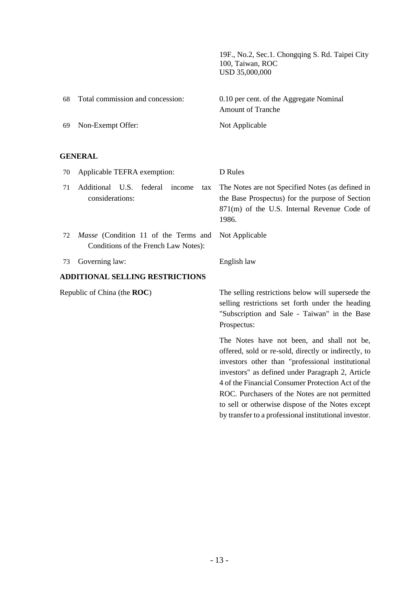19F., No.2, Sec.1. Chongqing S. Rd. Taipei City 100, Taiwan, ROC USD 35,000,000

by transfer to a professional institutional investor.

| 68  | Total commission and concession: | 0.10 per cent. of the Aggregate Nominal<br>Amount of Tranche |
|-----|----------------------------------|--------------------------------------------------------------|
| -69 | Non-Exempt Offer:                | Not Applicable                                               |

## **GENERAL**

| 70                                                                                        | Applicable TEFRA exemption:                                    | D Rules                                                                                                                                                                                                                                                                                                                                                               |  |
|-------------------------------------------------------------------------------------------|----------------------------------------------------------------|-----------------------------------------------------------------------------------------------------------------------------------------------------------------------------------------------------------------------------------------------------------------------------------------------------------------------------------------------------------------------|--|
| 71                                                                                        | Additional U.S.<br>federal<br>income<br>tax<br>considerations: | The Notes are not Specified Notes (as defined in<br>the Base Prospectus) for the purpose of Section<br>871(m) of the U.S. Internal Revenue Code of<br>1986.                                                                                                                                                                                                           |  |
| <i>Masse</i> (Condition 11 of the Terms and<br>72<br>Conditions of the French Law Notes): |                                                                | Not Applicable                                                                                                                                                                                                                                                                                                                                                        |  |
| 73                                                                                        | Governing law:                                                 | English law                                                                                                                                                                                                                                                                                                                                                           |  |
|                                                                                           | <b>ADDITIONAL SELLING RESTRICTIONS</b>                         |                                                                                                                                                                                                                                                                                                                                                                       |  |
|                                                                                           | Republic of China (the <b>ROC</b> )                            | The selling restrictions below will supersede the<br>selling restrictions set forth under the heading<br>"Subscription and Sale - Taiwan" in the Base<br>Prospectus:                                                                                                                                                                                                  |  |
|                                                                                           |                                                                | The Notes have not been, and shall not be,<br>offered, sold or re-sold, directly or indirectly, to<br>investors other than "professional institutional<br>investors" as defined under Paragraph 2, Article<br>4 of the Financial Consumer Protection Act of the<br>ROC. Purchasers of the Notes are not permitted<br>to sell or otherwise dispose of the Notes except |  |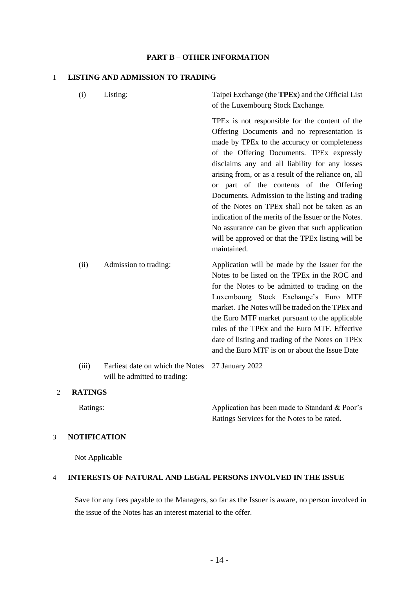#### **PART B – OTHER INFORMATION**

#### 1 **LISTING AND ADMISSION TO TRADING**

| (i)     | Listing:                                                         | Taipei Exchange (the <b>TPEx</b> ) and the Official List<br>of the Luxembourg Stock Exchange.                                                                                                                                                                                                                                                                                                                                                                                                                                                                                                                                      |
|---------|------------------------------------------------------------------|------------------------------------------------------------------------------------------------------------------------------------------------------------------------------------------------------------------------------------------------------------------------------------------------------------------------------------------------------------------------------------------------------------------------------------------------------------------------------------------------------------------------------------------------------------------------------------------------------------------------------------|
|         |                                                                  | TPEx is not responsible for the content of the<br>Offering Documents and no representation is<br>made by TPEx to the accuracy or completeness<br>of the Offering Documents. TPEx expressly<br>disclaims any and all liability for any losses<br>arising from, or as a result of the reliance on, all<br>or part of the contents of the Offering<br>Documents. Admission to the listing and trading<br>of the Notes on TPEx shall not be taken as an<br>indication of the merits of the Issuer or the Notes.<br>No assurance can be given that such application<br>will be approved or that the TPEx listing will be<br>maintained. |
| (ii)    | Admission to trading:                                            | Application will be made by the Issuer for the<br>Notes to be listed on the TPEx in the ROC and<br>for the Notes to be admitted to trading on the<br>Luxembourg Stock Exchange's Euro MTF<br>market. The Notes will be traded on the TPEx and<br>the Euro MTF market pursuant to the applicable<br>rules of the TPEx and the Euro MTF. Effective<br>date of listing and trading of the Notes on TPEx<br>and the Euro MTF is on or about the Issue Date                                                                                                                                                                             |
| (iii)   | Earliest date on which the Notes<br>will be admitted to trading: | 27 January 2022                                                                                                                                                                                                                                                                                                                                                                                                                                                                                                                                                                                                                    |
| RATINGS |                                                                  |                                                                                                                                                                                                                                                                                                                                                                                                                                                                                                                                                                                                                                    |

# 2 **RATINGS**

Ratings: Application has been made to Standard & Poor's Ratings Services for the Notes to be rated.

## 3 **NOTIFICATION**

Not Applicable

#### 4 **INTERESTS OF NATURAL AND LEGAL PERSONS INVOLVED IN THE ISSUE**

Save for any fees payable to the Managers, so far as the Issuer is aware, no person involved in the issue of the Notes has an interest material to the offer.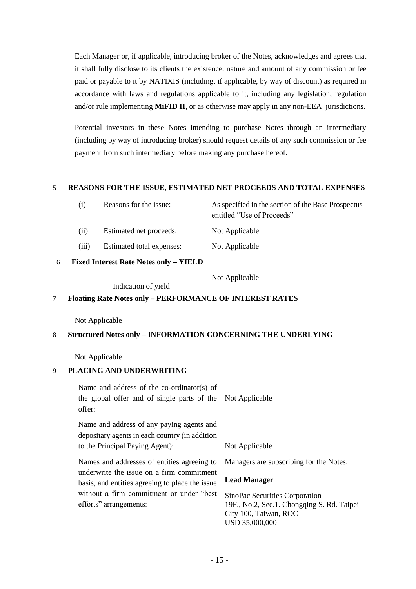Each Manager or, if applicable, introducing broker of the Notes, acknowledges and agrees that it shall fully disclose to its clients the existence, nature and amount of any commission or fee paid or payable to it by NATIXIS (including, if applicable, by way of discount) as required in accordance with laws and regulations applicable to it, including any legislation, regulation and/or rule implementing **MiFID II**, or as otherwise may apply in any non-EEA jurisdictions.

Potential investors in these Notes intending to purchase Notes through an intermediary (including by way of introducing broker) should request details of any such commission or fee payment from such intermediary before making any purchase hereof.

#### 5 **REASONS FOR THE ISSUE, ESTIMATED NET PROCEEDS AND TOTAL EXPENSES**

| (i)  | Reasons for the issue:  | As specified in the section of the Base Prospectus |  |
|------|-------------------------|----------------------------------------------------|--|
|      |                         | entitled "Use of Proceeds"                         |  |
| (ii) | Estimated net proceeds: | Not Applicable                                     |  |

(iii) Estimated total expenses: Not Applicable

6 **Fixed Interest Rate Notes only – YIELD**

Not Applicable

Indication of yield

## 7 **Floating Rate Notes only – PERFORMANCE OF INTEREST RATES**

Not Applicable

#### 8 **Structured Notes only – INFORMATION CONCERNING THE UNDERLYING**

Not Applicable

#### 9 **PLACING AND UNDERWRITING**

Name and address of the co-ordinator(s) of the global offer and of single parts of the Not Applicable offer:

Name and address of any paying agents and depositary agents in each country (in addition to the Principal Paying Agent): Not Applicable

Names and addresses of entities agreeing to underwrite the issue on a firm commitment basis, and entities agreeing to place the issue without a firm commitment or under "best efforts" arrangements:

Managers are subscribing for the Notes:

## **Lead Manager**

SinoPac Securities Corporation 19F., No.2, Sec.1. Chongqing S. Rd. Taipei City 100, Taiwan, ROC USD 35,000,000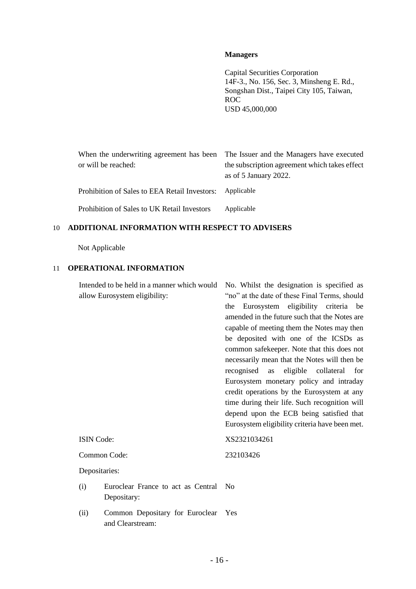### **Managers**

Capital Securities Corporation 14F-3., No. 156, Sec. 3, Minsheng E. Rd., Songshan Dist., Taipei City 105, Taiwan, ROC USD 45,000,000

|                                                          | When the underwriting agreement has been The Issuer and the Managers have executed |  |
|----------------------------------------------------------|------------------------------------------------------------------------------------|--|
| or will be reached:                                      | the subscription agreement which takes effect                                      |  |
|                                                          | as of $5$ January 2022.                                                            |  |
| Prohibition of Sales to EEA Retail Investors: Applicable |                                                                                    |  |
| Prohibition of Sales to UK Retail Investors              | Applicable                                                                         |  |

# 10 **ADDITIONAL INFORMATION WITH RESPECT TO ADVISERS**

Not Applicable

# 11 **OPERATIONAL INFORMATION**

| Intended to be held in a manner which would |                                                     | No. Whilst the designation is specified as        |  |
|---------------------------------------------|-----------------------------------------------------|---------------------------------------------------|--|
| allow Eurosystem eligibility:               |                                                     | "no" at the date of these Final Terms, should     |  |
|                                             |                                                     | Eurosystem eligibility criteria be<br>the         |  |
|                                             |                                                     | amended in the future such that the Notes are     |  |
|                                             |                                                     | capable of meeting them the Notes may then        |  |
|                                             |                                                     | be deposited with one of the ICSDs as             |  |
|                                             |                                                     | common safekeeper. Note that this does not        |  |
|                                             |                                                     | necessarily mean that the Notes will then be      |  |
|                                             |                                                     | collateral<br>recognised<br>eligible<br>as<br>for |  |
|                                             |                                                     | Eurosystem monetary policy and intraday           |  |
|                                             |                                                     | credit operations by the Eurosystem at any        |  |
|                                             |                                                     | time during their life. Such recognition will     |  |
|                                             |                                                     | depend upon the ECB being satisfied that          |  |
|                                             |                                                     | Eurosystem eligibility criteria have been met.    |  |
| <b>ISIN</b> Code:                           |                                                     | XS2321034261                                      |  |
| Common Code:                                |                                                     | 232103426                                         |  |
| Depositaries:                               |                                                     |                                                   |  |
| (i)                                         | Euroclear France to act as Central                  | No                                                |  |
|                                             | Depositary:                                         |                                                   |  |
| (ii)                                        | Common Depositary for Euroclear<br>and Clearstream: | Yes                                               |  |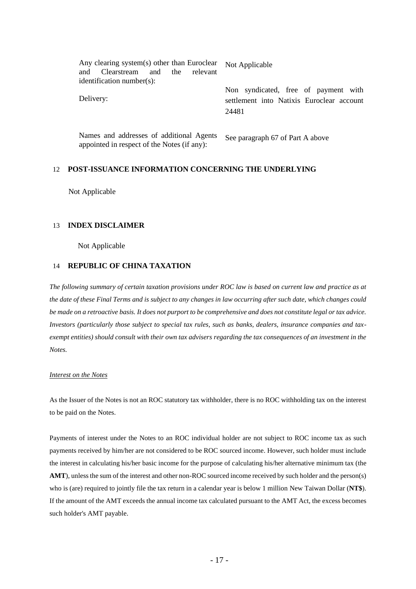| Any clearing system(s) other than Euroclear<br>Clearstream and the<br>relevant<br>and<br>identification number(s): | Not Applicable                                                                             |
|--------------------------------------------------------------------------------------------------------------------|--------------------------------------------------------------------------------------------|
| Delivery:                                                                                                          | Non syndicated, free of payment with<br>settlement into Natixis Euroclear account<br>24481 |
| Names and addresses of additional Agents<br>appointed in respect of the Notes (if any):                            | See paragraph 67 of Part A above                                                           |

#### 12 **POST-ISSUANCE INFORMATION CONCERNING THE UNDERLYING**

Not Applicable

#### 13 **INDEX DISCLAIMER**

Not Applicable

#### 14 **REPUBLIC OF CHINA TAXATION**

*The following summary of certain taxation provisions under ROC law is based on current law and practice as at the date of these Final Terms and is subject to any changes in law occurring after such date, which changes could be made on a retroactive basis. It does not purport to be comprehensive and does not constitute legal or tax advice. Investors (particularly those subject to special tax rules, such as banks, dealers, insurance companies and taxexempt entities) should consult with their own tax advisers regarding the tax consequences of an investment in the Notes.*

#### *Interest on the Notes*

As the Issuer of the Notes is not an ROC statutory tax withholder, there is no ROC withholding tax on the interest to be paid on the Notes.

Payments of interest under the Notes to an ROC individual holder are not subject to ROC income tax as such payments received by him/her are not considered to be ROC sourced income. However, such holder must include the interest in calculating his/her basic income for the purpose of calculating his/her alternative minimum tax (the **AMT**), unless the sum of the interest and other non-ROC sourced income received by such holder and the person(s) who is (are) required to jointly file the tax return in a calendar year is below 1 million New Taiwan Dollar (**NT\$**). If the amount of the AMT exceeds the annual income tax calculated pursuant to the AMT Act, the excess becomes such holder's AMT payable.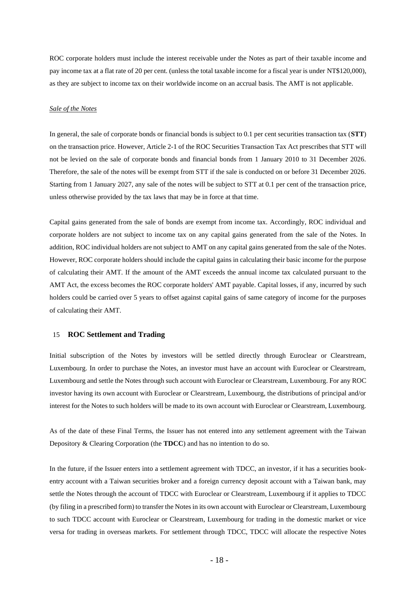ROC corporate holders must include the interest receivable under the Notes as part of their taxable income and pay income tax at a flat rate of 20 per cent. (unless the total taxable income for a fiscal year is under NT\$120,000), as they are subject to income tax on their worldwide income on an accrual basis. The AMT is not applicable.

#### *Sale of the Notes*

In general, the sale of corporate bonds or financial bonds is subject to 0.1 per cent securities transaction tax (**STT**) on the transaction price. However, Article 2-1 of the ROC Securities Transaction Tax Act prescribes that STT will not be levied on the sale of corporate bonds and financial bonds from 1 January 2010 to 31 December 2026. Therefore, the sale of the notes will be exempt from STT if the sale is conducted on or before 31 December 2026. Starting from 1 January 2027, any sale of the notes will be subject to STT at 0.1 per cent of the transaction price, unless otherwise provided by the tax laws that may be in force at that time.

Capital gains generated from the sale of bonds are exempt from income tax. Accordingly, ROC individual and corporate holders are not subject to income tax on any capital gains generated from the sale of the Notes. In addition, ROC individual holders are not subject to AMT on any capital gains generated from the sale of the Notes. However, ROC corporate holders should include the capital gains in calculating their basic income for the purpose of calculating their AMT. If the amount of the AMT exceeds the annual income tax calculated pursuant to the AMT Act, the excess becomes the ROC corporate holders' AMT payable. Capital losses, if any, incurred by such holders could be carried over 5 years to offset against capital gains of same category of income for the purposes of calculating their AMT.

#### 15 **ROC Settlement and Trading**

Initial subscription of the Notes by investors will be settled directly through Euroclear or Clearstream, Luxembourg. In order to purchase the Notes, an investor must have an account with Euroclear or Clearstream, Luxembourg and settle the Notes through such account with Euroclear or Clearstream, Luxembourg. For any ROC investor having its own account with Euroclear or Clearstream, Luxembourg, the distributions of principal and/or interest for the Notes to such holders will be made to its own account with Euroclear or Clearstream, Luxembourg.

As of the date of these Final Terms, the Issuer has not entered into any settlement agreement with the Taiwan Depository & Clearing Corporation (the **TDCC**) and has no intention to do so.

In the future, if the Issuer enters into a settlement agreement with TDCC, an investor, if it has a securities bookentry account with a Taiwan securities broker and a foreign currency deposit account with a Taiwan bank, may settle the Notes through the account of TDCC with Euroclear or Clearstream, Luxembourg if it applies to TDCC (by filing in a prescribed form) to transfer the Notes in its own account with Euroclear or Clearstream, Luxembourg to such TDCC account with Euroclear or Clearstream, Luxembourg for trading in the domestic market or vice versa for trading in overseas markets. For settlement through TDCC, TDCC will allocate the respective Notes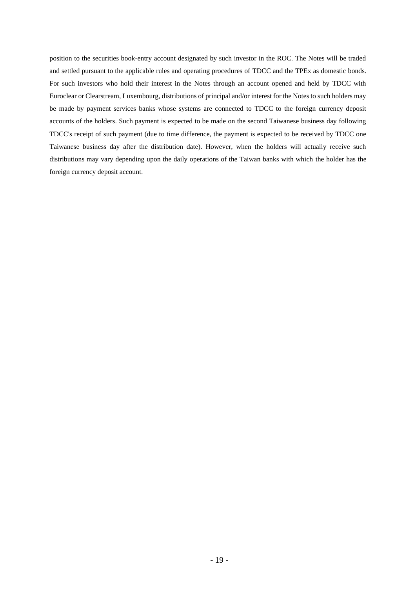position to the securities book-entry account designated by such investor in the ROC. The Notes will be traded and settled pursuant to the applicable rules and operating procedures of TDCC and the TPEx as domestic bonds. For such investors who hold their interest in the Notes through an account opened and held by TDCC with Euroclear or Clearstream, Luxembourg, distributions of principal and/or interest for the Notes to such holders may be made by payment services banks whose systems are connected to TDCC to the foreign currency deposit accounts of the holders. Such payment is expected to be made on the second Taiwanese business day following TDCC's receipt of such payment (due to time difference, the payment is expected to be received by TDCC one Taiwanese business day after the distribution date). However, when the holders will actually receive such distributions may vary depending upon the daily operations of the Taiwan banks with which the holder has the foreign currency deposit account.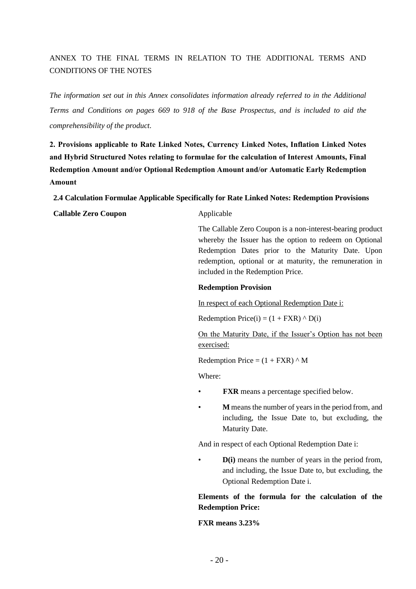# ANNEX TO THE FINAL TERMS IN RELATION TO THE ADDITIONAL TERMS AND CONDITIONS OF THE NOTES

*The information set out in this Annex consolidates information already referred to in the Additional Terms and Conditions on pages 669 to 918 of the Base Prospectus, and is included to aid the comprehensibility of the product.*

**2. Provisions applicable to Rate Linked Notes, Currency Linked Notes, Inflation Linked Notes and Hybrid Structured Notes relating to formulae for the calculation of Interest Amounts, Final Redemption Amount and/or Optional Redemption Amount and/or Automatic Early Redemption Amount**

**2.4 Calculation Formulae Applicable Specifically for Rate Linked Notes: Redemption Provisions**

**Callable Zero Coupon** Applicable

The Callable Zero Coupon is a non-interest-bearing product whereby the Issuer has the option to redeem on Optional Redemption Dates prior to the Maturity Date. Upon redemption, optional or at maturity, the remuneration in included in the Redemption Price.

#### **Redemption Provision**

In respect of each Optional Redemption Date i:

Redemption Price(i) =  $(1 + FXR) \wedge D(i)$ 

On the Maturity Date, if the Issuer's Option has not been exercised:

Redemption Price =  $(1 + FXR)$   $\wedge$  M

Where:

- **FXR** means a percentage specified below.
- **M** means the number of years in the period from, and including, the Issue Date to, but excluding, the Maturity Date.

And in respect of each Optional Redemption Date i:

• **D(i)** means the number of years in the period from, and including, the Issue Date to, but excluding, the Optional Redemption Date i.

# **Elements of the formula for the calculation of the Redemption Price:**

#### **FXR means 3.23%**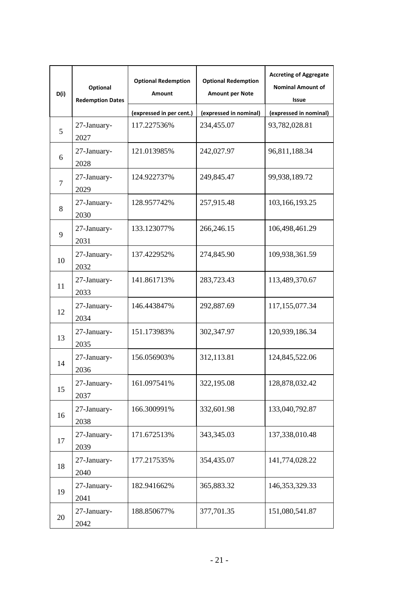| D(i) | Optional<br><b>Redemption Dates</b> | <b>Optional Redemption</b><br><b>Amount</b> | <b>Optional Redemption</b><br><b>Amount per Note</b> | <b>Accreting of Aggregate</b><br><b>Nominal Amount of</b><br>Issue |
|------|-------------------------------------|---------------------------------------------|------------------------------------------------------|--------------------------------------------------------------------|
|      |                                     | (expressed in per cent.)                    | (expressed in nominal)                               | (expressed in nominal)                                             |
| 5    | 27-January-<br>2027                 | 117.227536%                                 | 234,455.07                                           | 93,782,028.81                                                      |
| 6    | 27-January-<br>2028                 | 121.013985%                                 | 242,027.97                                           | 96,811,188.34                                                      |
| 7    | 27-January-<br>2029                 | 124.922737%                                 | 249,845.47                                           | 99,938,189.72                                                      |
| 8    | 27-January-<br>2030                 | 128.957742%                                 | 257,915.48                                           | 103,166,193.25                                                     |
| 9    | 27-January-<br>2031                 | 133.123077%                                 | 266,246.15                                           | 106,498,461.29                                                     |
| 10   | 27-January-<br>2032                 | 137.422952%                                 | 274,845.90                                           | 109,938,361.59                                                     |
| 11   | 27-January-<br>2033                 | 141.861713%                                 | 283,723.43                                           | 113,489,370.67                                                     |
| 12   | 27-January-<br>2034                 | 146.443847%                                 | 292,887.69                                           | 117,155,077.34                                                     |
| 13   | 27-January-<br>2035                 | 151.173983%                                 | 302,347.97                                           | 120,939,186.34                                                     |
| 14   | 27-January-<br>2036                 | 156.056903%                                 | 312,113.81                                           | 124,845,522.06                                                     |
| 15   | 27-January-<br>2037                 | 161.097541%                                 | 322,195.08                                           | 128,878,032.42                                                     |
| 16   | 27-January-<br>2038                 | 166.300991%                                 | 332,601.98                                           | 133,040,792.87                                                     |
| 17   | 27-January-<br>2039                 | 171.672513%                                 | 343,345.03                                           | 137,338,010.48                                                     |
| 18   | 27-January-<br>2040                 | 177.217535%                                 | 354,435.07                                           | 141,774,028.22                                                     |
| 19   | 27-January-<br>2041                 | 182.941662%                                 | 365,883.32                                           | 146, 353, 329. 33                                                  |
| 20   | 27-January-<br>2042                 | 188.850677%                                 | 377,701.35                                           | 151,080,541.87                                                     |